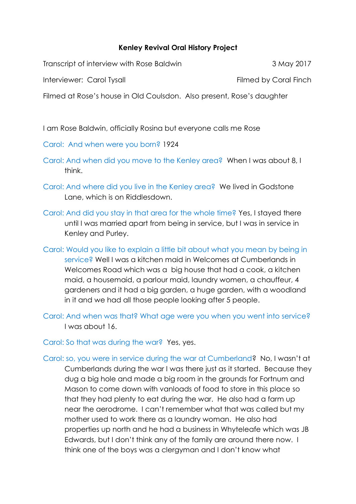## **Kenley Revival Oral History Project**

Transcript of interview with Rose Baldwin 3 May 2017

Interviewer: Carol Tysall **Filmed by Coral Finch** 

Filmed at Rose's house in Old Coulsdon. Also present, Rose's daughter

I am Rose Baldwin, officially Rosina but everyone calls me Rose

Carol: And when were you born? 1924

- Carol: And when did you move to the Kenley area? When I was about 8, I think.
- Carol: And where did you live in the Kenley area? We lived in Godstone Lane, which is on Riddlesdown.
- Carol: And did you stay in that area for the whole time? Yes, I stayed there until I was married apart from being in service, but I was in service in Kenley and Purley.
- Carol: Would you like to explain a little bit about what you mean by being in service? Well I was a kitchen maid in Welcomes at Cumberlands in Welcomes Road which was a big house that had a cook, a kitchen maid, a housemaid, a parlour maid, laundry women, a chauffeur, 4 gardeners and it had a big garden, a huge garden, with a woodland in it and we had all those people looking after 5 people.
- Carol: And when was that? What age were you when you went into service? I was about 16.

Carol: So that was during the war? Yes, yes.

Carol: so, you were in service during the war at Cumberland? No, I wasn't at Cumberlands during the war I was there just as it started. Because they dug a big hole and made a big room in the grounds for Fortnum and Mason to come down with vanloads of food to store in this place so that they had plenty to eat during the war. He also had a farm up near the aerodrome. I can't remember what that was called but my mother used to work there as a laundry woman. He also had properties up north and he had a business in Whyteleafe which was JB Edwards, but I don't think any of the family are around there now. I think one of the boys was a clergyman and I don't know what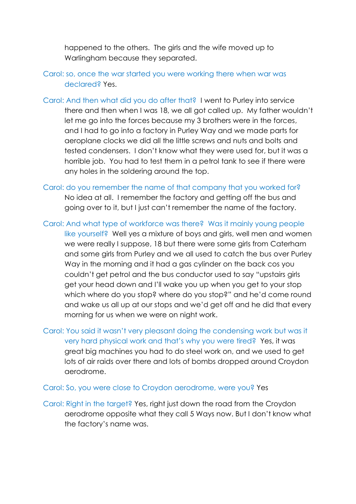happened to the others. The girls and the wife moved up to Warlingham because they separated.

- Carol: so, once the war started you were working there when war was declared? Yes.
- Carol: And then what did you do after that? I went to Purley into service there and then when I was 18, we all got called up. My father wouldn't let me go into the forces because my 3 brothers were in the forces, and I had to go into a factory in Purley Way and we made parts for aeroplane clocks we did all the little screws and nuts and bolts and tested condensers. I don't know what they were used for, but it was a horrible job. You had to test them in a petrol tank to see if there were any holes in the soldering around the top.
- Carol: do you remember the name of that company that you worked for? No idea at all. I remember the factory and getting off the bus and going over to it, but I just can't remember the name of the factory.
- Carol: And what type of workforce was there? Was it mainly young people like yourself? Well yes a mixture of boys and girls, well men and women we were really I suppose, 18 but there were some girls from Caterham and some girls from Purley and we all used to catch the bus over Purley Way in the morning and it had a gas cylinder on the back cos you couldn't get petrol and the bus conductor used to say "upstairs girls get your head down and I'll wake you up when you get to your stop which where do you stop? where do you stop?" and he'd come round and wake us all up at our stops and we'd get off and he did that every morning for us when we were on night work.
- Carol: You said it wasn't very pleasant doing the condensing work but was it very hard physical work and that's why you were tired? Yes, it was great big machines you had to do steel work on, and we used to get lots of air raids over there and lots of bombs dropped around Croydon aerodrome.

## Carol: So, you were close to Croydon aerodrome, were you? Yes

Carol: Right in the target? Yes, right just down the road from the Croydon aerodrome opposite what they call 5 Ways now. But I don't know what the factory's name was.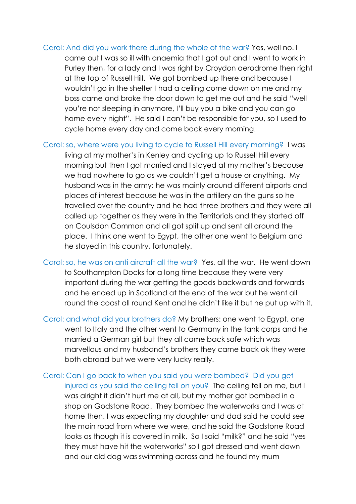- Carol: And did you work there during the whole of the war? Yes, well no. I came out I was so ill with anaemia that I got out and I went to work in Purley then, for a lady and I was right by Croydon aerodrome then right at the top of Russell Hill. We got bombed up there and because I wouldn't go in the shelter I had a ceiling come down on me and my boss came and broke the door down to get me out and he said "well you're not sleeping in anymore, I'll buy you a bike and you can go home every night". He said I can't be responsible for you, so I used to cycle home every day and come back every morning.
- Carol: so, where were you living to cycle to Russell Hill every morning? I was living at my mother's in Kenley and cycling up to Russell Hill every morning but then I got married and I stayed at my mother's because we had nowhere to go as we couldn't get a house or anything. My husband was in the army: he was mainly around different airports and places of interest because he was in the artillery on the guns so he travelled over the country and he had three brothers and they were all called up together as they were in the Territorials and they started off on Coulsdon Common and all got split up and sent all around the place. I think one went to Egypt, the other one went to Belgium and he stayed in this country, fortunately.
- Carol: so, he was on anti aircraft all the war? Yes, all the war. He went down to Southampton Docks for a long time because they were very important during the war getting the goods backwards and forwards and he ended up in Scotland at the end of the war but he went all round the coast all round Kent and he didn't like it but he put up with it.
- Carol: and what did your brothers do? My brothers: one went to Egypt, one went to Italy and the other went to Germany in the tank corps and he married a German girl but they all came back safe which was marvellous and my husband's brothers they came back ok they were both abroad but we were very lucky really.
- Carol: Can I go back to when you said you were bombed? Did you get injured as you said the ceiling fell on you? The ceiling fell on me, but I was alright it didn't hurt me at all, but my mother got bombed in a shop on Godstone Road. They bombed the waterworks and I was at home then. I was expecting my daughter and dad said he could see the main road from where we were, and he said the Godstone Road looks as though it is covered in milk. So I said "milk?" and he said "yes they must have hit the waterworks" so I got dressed and went down and our old dog was swimming across and he found my mum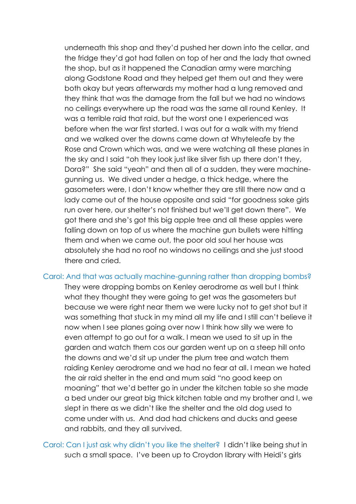underneath this shop and they'd pushed her down into the cellar, and the fridge they'd got had fallen on top of her and the lady that owned the shop, but as it happened the Canadian army were marching along Godstone Road and they helped get them out and they were both okay but years afterwards my mother had a lung removed and they think that was the damage from the fall but we had no windows no ceilings everywhere up the road was the same all round Kenley. It was a terrible raid that raid, but the worst one I experienced was before when the war first started. I was out for a walk with my friend and we walked over the downs came down at Whyteleafe by the Rose and Crown which was, and we were watching all these planes in the sky and I said "oh they look just like silver fish up there don't they, Dora?" She said "yeah" and then all of a sudden, they were machinegunning us. We dived under a hedge, a thick hedge, where the gasometers were, I don't know whether they are still there now and a lady came out of the house opposite and said "for goodness sake girls run over here, our shelter's not finished but we'll get down there". We got there and she's got this big apple tree and all these apples were falling down on top of us where the machine gun bullets were hitting them and when we came out, the poor old soul her house was absolutely she had no roof no windows no ceilings and she just stood there and cried.

Carol: And that was actually machine-gunning rather than dropping bombs?

They were dropping bombs on Kenley aerodrome as well but I think what they thought they were going to get was the gasometers but because we were right near them we were lucky not to get shot but it was something that stuck in my mind all my life and I still can't believe it now when I see planes going over now I think how silly we were to even attempt to go out for a walk. I mean we used to sit up in the garden and watch them cos our garden went up on a steep hill onto the downs and we'd sit up under the plum tree and watch them raiding Kenley aerodrome and we had no fear at all. I mean we hated the air raid shelter in the end and mum said "no good keep on moaning" that we'd better go in under the kitchen table so she made a bed under our great big thick kitchen table and my brother and I, we slept in there as we didn't like the shelter and the old dog used to come under with us. And dad had chickens and ducks and geese and rabbits, and they all survived.

Carol: Can I just ask why didn't you like the shelter? I didn't like being shut in such a small space. I've been up to Croydon library with Heidi's girls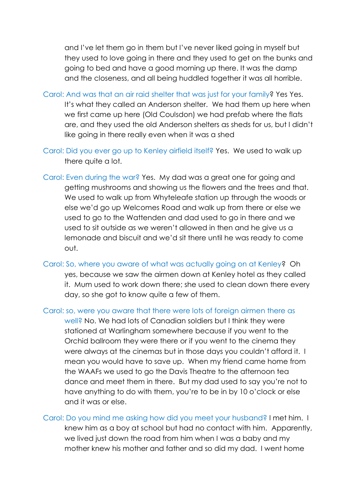and I've let them go in them but I've never liked going in myself but they used to love going in there and they used to get on the bunks and going to bed and have a good morning up there. It was the damp and the closeness, and all being huddled together it was all horrible.

Carol: And was that an air raid shelter that was just for your family? Yes Yes. It's what they called an Anderson shelter. We had them up here when we first came up here (Old Coulsdon) we had prefab where the flats are, and they used the old Anderson shelters as sheds for us, but I didn't like going in there really even when it was a shed

- Carol: Did you ever go up to Kenley airfield itself? Yes. We used to walk up there quite a lot.
- Carol: Even during the war? Yes. My dad was a great one for going and getting mushrooms and showing us the flowers and the trees and that. We used to walk up from Whyteleafe station up through the woods or else we'd go up Welcomes Road and walk up from there or else we used to go to the Wattenden and dad used to go in there and we used to sit outside as we weren't allowed in then and he give us a lemonade and biscuit and we'd sit there until he was ready to come out.
- Carol: So, where you aware of what was actually going on at Kenley? Oh yes, because we saw the airmen down at Kenley hotel as they called it. Mum used to work down there; she used to clean down there every day, so she got to know quite a few of them.

Carol: so, were you aware that there were lots of foreign airmen there as well? No. We had lots of Canadian soldiers but I think they were stationed at Warlingham somewhere because if you went to the Orchid ballroom they were there or if you went to the cinema they were always at the cinemas but in those days you couldn't afford it. I

mean you would have to save up. When my friend came home from the WAAFs we used to go the Davis Theatre to the afternoon tea dance and meet them in there. But my dad used to say you're not to have anything to do with them, you're to be in by 10 o'clock or else and it was or else.

Carol: Do you mind me asking how did you meet your husband? I met him. I knew him as a boy at school but had no contact with him. Apparently, we lived just down the road from him when I was a baby and my mother knew his mother and father and so did my dad. I went home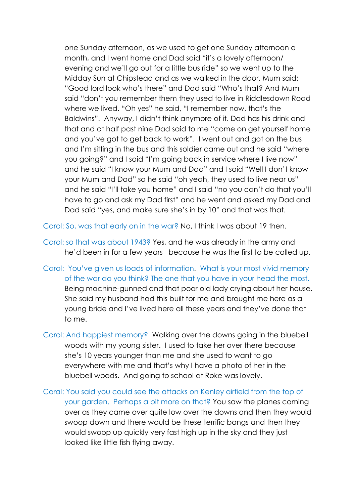one Sunday afternoon, as we used to get one Sunday afternoon a month, and I went home and Dad said "it's a lovely afternoon/ evening and we'll go out for a little bus ride" so we went up to the Midday Sun at Chipstead and as we walked in the door, Mum said: "Good lord look who's there" and Dad said "Who's that? And Mum said "don't you remember them they used to live in Riddlesdown Road where we lived. "Oh yes" he said, "I remember now, that's the Baldwins". Anyway, I didn't think anymore of it. Dad has his drink and that and at half past nine Dad said to me "come on get yourself home and you've got to get back to work". I went out and got on the bus and I'm sitting in the bus and this soldier came out and he said "where you going?" and I said "I'm going back in service where I live now" and he said "I know your Mum and Dad" and I said "Well I don't know your Mum and Dad" so he said "oh yeah, they used to live near us" and he said "I'll take you home" and I said "no you can't do that you'll have to go and ask my Dad first" and he went and asked my Dad and Dad said "yes, and make sure she's in by 10" and that was that.

Carol: So, was that early on in the war? No, I think I was about 19 then.

- Carol: so that was about 1943? Yes, and he was already in the army and he'd been in for a few years because he was the first to be called up.
- Carol: You've given us loads of information. What is your most vivid memory of the war do you think? The one that you have in your head the most. Being machine-gunned and that poor old lady crying about her house. She said my husband had this built for me and brought me here as a young bride and I've lived here all these years and they've done that to me.
- Carol: And happiest memory? Walking over the downs going in the bluebell woods with my young sister. I used to take her over there because she's 10 years younger than me and she used to want to go everywhere with me and that's why I have a photo of her in the bluebell woods. And going to school at Roke was lovely.
- Coral: You said you could see the attacks on Kenley airfield from the top of your garden. Perhaps a bit more on that? You saw the planes coming over as they came over quite low over the downs and then they would swoop down and there would be these terrific bangs and then they would swoop up quickly very fast high up in the sky and they just looked like little fish flying away.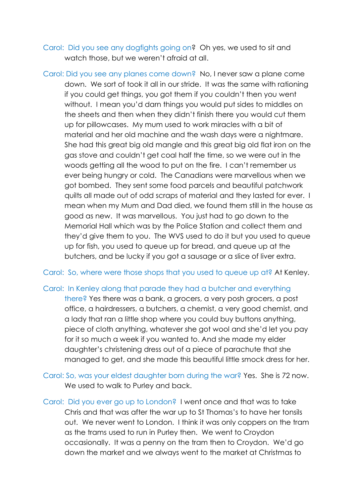Carol: Did you see any dogfights going on? Oh yes, we used to sit and watch those, but we weren't afraid at all.

Carol: Did you see any planes come down? No, I never saw a plane come down. We sort of took it all in our stride. It was the same with rationing if you could get things, you got them if you couldn't then you went without. I mean you'd darn things you would put sides to middles on the sheets and then when they didn't finish there you would cut them up for pillowcases. My mum used to work miracles with a bit of material and her old machine and the wash days were a nightmare. She had this great big old mangle and this great big old flat iron on the gas stove and couldn't get coal half the time, so we were out in the woods getting all the wood to put on the fire. I can't remember us ever being hungry or cold. The Canadians were marvellous when we got bombed. They sent some food parcels and beautiful patchwork quilts all made out of odd scraps of material and they lasted for ever. I mean when my Mum and Dad died, we found them still in the house as good as new. It was marvellous. You just had to go down to the Memorial Hall which was by the Police Station and collect them and they'd give them to you. The WVS used to do it but you used to queue up for fish, you used to queue up for bread, and queue up at the butchers, and be lucky if you got a sausage or a slice of liver extra.

Carol: So, where were those shops that you used to queue up at? At Kenley.

## Carol: In Kenley along that parade they had a butcher and everything

there? Yes there was a bank, a grocers, a very posh grocers, a post office, a hairdressers, a butchers, a chemist, a very good chemist, and a lady that ran a little shop where you could buy buttons anything, piece of cloth anything, whatever she got wool and she'd let you pay for it so much a week if you wanted to. And she made my elder daughter's christening dress out of a piece of parachute that she managed to get, and she made this beautiful little smock dress for her.

Carol: So, was your eldest daughter born during the war? Yes. She is 72 now. We used to walk to Purley and back.

Carol: Did you ever go up to London? I went once and that was to take Chris and that was after the war up to St Thomas's to have her tonsils out. We never went to London. I think it was only coppers on the tram as the trams used to run in Purley then. We went to Croydon occasionally. It was a penny on the tram then to Croydon. We'd go down the market and we always went to the market at Christmas to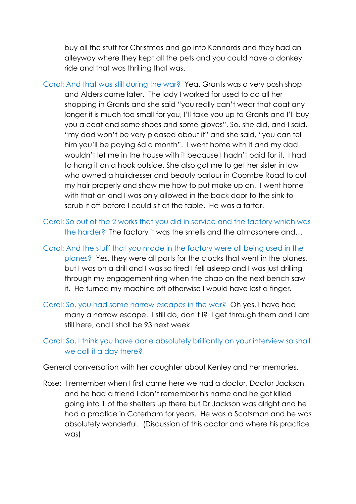buy all the stuff for Christmas and go into Kennards and they had an alleyway where they kept all the pets and you could have a donkey ride and that was thrilling that was.

- Carol: And that was still during the war? Yea. Grants was a very posh shop and Alders came later. The lady I worked for used to do all her shopping in Grants and she said "you really can't wear that coat any longer it is much too small for you, I'll take you up to Grants and I'll buy you a coat and some shoes and some gloves". So, she did, and I said, "my dad won't be very pleased about it" and she said, "you can tell him you'll be paying 6d a month". I went home with it and my dad wouldn't let me in the house with it because I hadn't paid for it. I had to hang it on a hook outside. She also got me to get her sister in law who owned a hairdresser and beauty parlour in Coombe Road to cut my hair properly and show me how to put make up on. I went home with that on and I was only allowed in the back door to the sink to scrub it off before I could sit at the table. He was a tartar.
- Carol: So out of the 2 works that you did in service and the factory which was the harder? The factory it was the smells and the atmosphere and…
- Carol: And the stuff that you made in the factory were all being used in the planes? Yes, they were all parts for the clocks that went in the planes, but I was on a drill and I was so tired I fell asleep and I was just drilling through my engagement ring when the chap on the next bench saw it. He turned my machine off otherwise I would have lost a finger.
- Carol: So, you had some narrow escapes in the war? Oh yes, I have had many a narrow escape. I still do, don't I? I get through them and I am still here, and I shall be 93 next week.
- Carol: So, I think you have done absolutely brilliantly on your interview so shall we call it a day there?

General conversation with her daughter about Kenley and her memories.

Rose: I remember when I first came here we had a doctor, Doctor Jackson, and he had a friend I don't remember his name and he got killed going into 1 of the shelters up there but Dr Jackson was alright and he had a practice in Caterham for years. He was a Scotsman and he was absolutely wonderful. (Discussion of this doctor and where his practice was)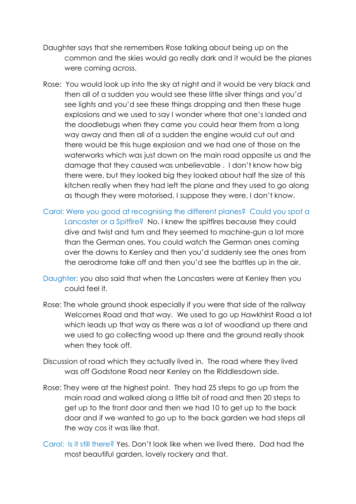- Daughter says that she remembers Rose talking about being up on the common and the skies would go really dark and it would be the planes were coming across.
- Rose: You would look up into the sky at night and it would be very black and then all of a sudden you would see these little silver things and you'd see lights and you'd see these things dropping and then these huge explosions and we used to say I wonder where that one's landed and the doodlebugs when they came you could hear them from a long way away and then all of a sudden the engine would cut out and there would be this huge explosion and we had one of those on the waterworks which was just down on the main road opposite us and the damage that they caused was unbelievable . I don't know how big there were, but they looked big they looked about half the size of this kitchen really when they had left the plane and they used to go along as though they were motorised, I suppose they were, I don't know.
- Carol: Were you good at recognising the different planes? Could you spot a Lancaster or a Spitfire? No. I knew the spitfires because they could dive and twist and turn and they seemed to machine-gun a lot more than the German ones. You could watch the German ones coming over the downs to Kenley and then you'd suddenly see the ones from the aerodrome take off and then you'd see the battles up in the air.
- Daughter: you also said that when the Lancasters were at Kenley then you could feel it.
- Rose: The whole ground shook especially if you were that side of the railway Welcomes Road and that way. We used to go up Hawkhirst Road a lot which leads up that way as there was a lot of woodland up there and we used to go collecting wood up there and the ground really shook when they took off.
- Discussion of road which they actually lived in. The road where they lived was off Godstone Road near Kenley on the Riddlesdown side.
- Rose: They were at the highest point. They had 25 steps to go up from the main road and walked along a little bit of road and then 20 steps to get up to the front door and then we had 10 to get up to the back door and if we wanted to go up to the back garden we had steps all the way cos it was like that.
- Carol: Is it still there? Yes. Don't look like when we lived there. Dad had the most beautiful garden, lovely rockery and that.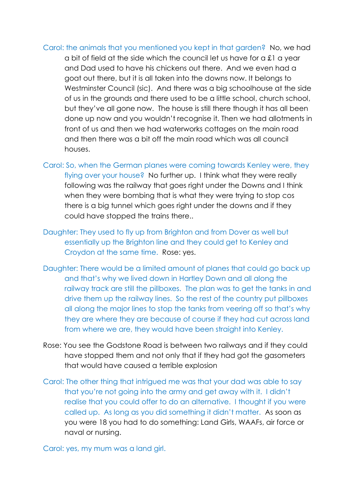- Carol: the animals that you mentioned you kept in that garden? No, we had a bit of field at the side which the council let us have for a £1 a year and Dad used to have his chickens out there. And we even had a goat out there, but it is all taken into the downs now. It belongs to Westminster Council (sic). And there was a big schoolhouse at the side of us in the grounds and there used to be a little school, church school, but they've all gone now. The house is still there though it has all been done up now and you wouldn't recognise it. Then we had allotments in front of us and then we had waterworks cottages on the main road and then there was a bit off the main road which was all council houses.
- Carol: So, when the German planes were coming towards Kenley were, they flying over your house? No further up. I think what they were really following was the railway that goes right under the Downs and I think when they were bombing that is what they were trying to stop cos there is a big tunnel which goes right under the downs and if they could have stopped the trains there..
- Daughter: They used to fly up from Brighton and from Dover as well but essentially up the Brighton line and they could get to Kenley and Croydon at the same time. Rose: yes.
- Daughter: There would be a limited amount of planes that could go back up and that's why we lived down in Hartley Down and all along the railway track are still the pillboxes. The plan was to get the tanks in and drive them up the railway lines. So the rest of the country put pillboxes all along the major lines to stop the tanks from veering off so that's why they are where they are because of course if they had cut across land from where we are, they would have been straight into Kenley.
- Rose: You see the Godstone Road is between two railways and if they could have stopped them and not only that if they had got the gasometers that would have caused a terrible explosion
- Carol: The other thing that intrigued me was that your dad was able to say that you're not going into the army and get away with it. I didn't realise that you could offer to do an alternative. I thought if you were called up. As long as you did something it didn't matter. As soon as you were 18 you had to do something: Land Girls, WAAFs, air force or naval or nursing.

Carol: yes, my mum was a land girl.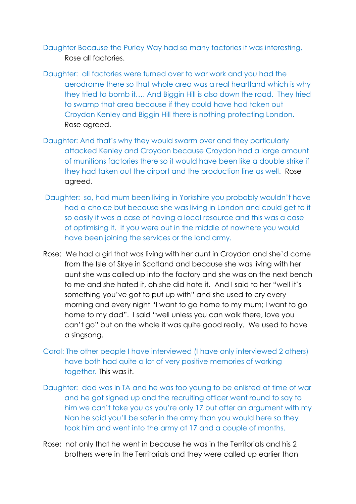Daughter Because the Purley Way had so many factories it was interesting. Rose all factories.

- Daughter: all factories were turned over to war work and you had the aerodrome there so that whole area was a real heartland which is why they tried to bomb it…. And Biggin Hill is also down the road. They tried to swamp that area because if they could have had taken out Croydon Kenley and Biggin Hill there is nothing protecting London. Rose agreed.
- Daughter: And that's why they would swarm over and they particularly attacked Kenley and Croydon because Croydon had a large amount of munitions factories there so it would have been like a double strike if they had taken out the airport and the production line as well. Rose agreed.
- Daughter: so, had mum been living in Yorkshire you probably wouldn't have had a choice but because she was living in London and could get to it so easily it was a case of having a local resource and this was a case of optimising it. If you were out in the middle of nowhere you would have been joining the services or the land army.
- Rose: We had a girl that was living with her aunt in Croydon and she'd come from the Isle of Skye in Scotland and because she was living with her aunt she was called up into the factory and she was on the next bench to me and she hated it, oh she did hate it. And I said to her "well it's something you've got to put up with" and she used to cry every morning and every night "I want to go home to my mum; I want to go home to my dad". I said "well unless you can walk there, love you can't go" but on the whole it was quite good really. We used to have a singsong.
- Carol: The other people I have interviewed (I have only interviewed 2 others) have both had quite a lot of very positive memories of working together. This was it.
- Daughter: dad was in TA and he was too young to be enlisted at time of war and he got signed up and the recruiting officer went round to say to him we can't take you as you're only 17 but after an argument with my Nan he said you'll be safer in the army than you would here so they took him and went into the army at 17 and a couple of months.
- Rose: not only that he went in because he was in the Territorials and his 2 brothers were in the Territorials and they were called up earlier than